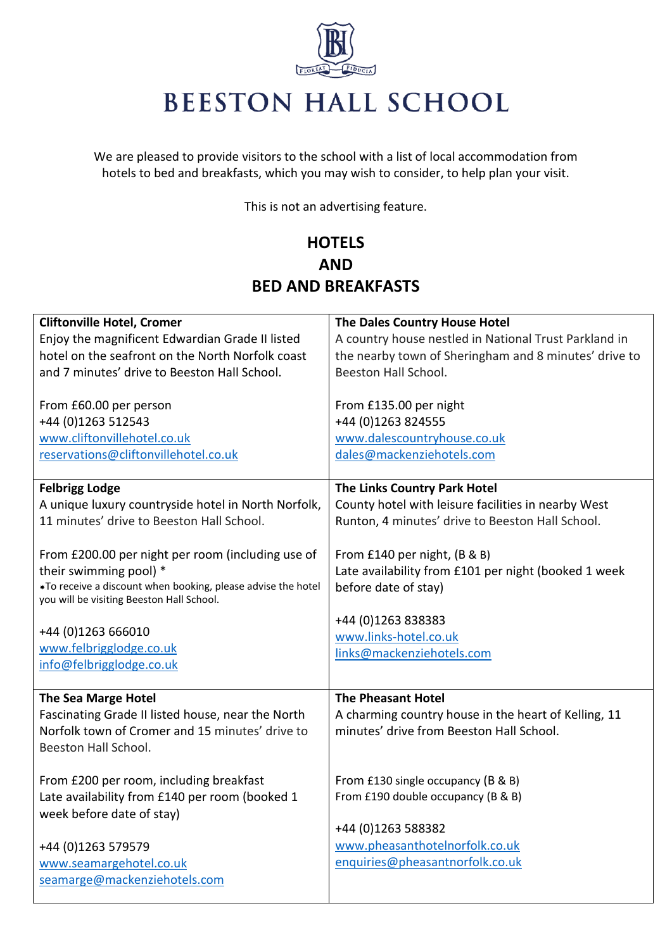

## **BEESTON HALL SCHOOL**

We are pleased to provide visitors to the school with a list of local accommodation from hotels to bed and breakfasts, which you may wish to consider, to help plan your visit.

This is not an advertising feature.

## **HOTELS AND BED AND BREAKFASTS**

| <b>Cliftonville Hotel, Cromer</b>                                                                         | The Dales Country House Hotel                         |
|-----------------------------------------------------------------------------------------------------------|-------------------------------------------------------|
| Enjoy the magnificent Edwardian Grade II listed                                                           | A country house nestled in National Trust Parkland in |
| hotel on the seafront on the North Norfolk coast                                                          | the nearby town of Sheringham and 8 minutes' drive to |
| and 7 minutes' drive to Beeston Hall School.                                                              | Beeston Hall School.                                  |
| From £60.00 per person                                                                                    | From £135.00 per night                                |
| +44 (0)1263 512543                                                                                        | +44 (0)1263 824555                                    |
| www.cliftonvillehotel.co.uk                                                                               | www.dalescountryhouse.co.uk                           |
| reservations@cliftonvillehotel.co.uk                                                                      | dales@mackenziehotels.com                             |
| <b>Felbrigg Lodge</b>                                                                                     | The Links Country Park Hotel                          |
| A unique luxury countryside hotel in North Norfolk,                                                       | County hotel with leisure facilities in nearby West   |
| 11 minutes' drive to Beeston Hall School.                                                                 | Runton, 4 minutes' drive to Beeston Hall School.      |
| From £200.00 per night per room (including use of                                                         | From £140 per night, (B & B)                          |
| their swimming pool) *                                                                                    | Late availability from £101 per night (booked 1 week  |
| *To receive a discount when booking, please advise the hotel<br>you will be visiting Beeston Hall School. | before date of stay)                                  |
|                                                                                                           | +44 (0)1263 838383                                    |
| +44 (0)1263 666010                                                                                        | www.links-hotel.co.uk                                 |
| www.felbrigglodge.co.uk                                                                                   | links@mackenziehotels.com                             |
| info@felbrigglodge.co.uk                                                                                  |                                                       |
| <b>The Sea Marge Hotel</b>                                                                                | <b>The Pheasant Hotel</b>                             |
| Fascinating Grade II listed house, near the North                                                         | A charming country house in the heart of Kelling, 11  |
| Norfolk town of Cromer and 15 minutes' drive to                                                           | minutes' drive from Beeston Hall School.              |
| Beeston Hall School.                                                                                      |                                                       |
| From £200 per room, including breakfast                                                                   | From £130 single occupancy (B & B)                    |
| Late availability from £140 per room (booked 1                                                            | From £190 double occupancy (B & B)                    |
| week before date of stay)                                                                                 |                                                       |
|                                                                                                           | +44 (0)1263 588382                                    |
| +44 (0)1263 579579                                                                                        | www.pheasanthotelnorfolk.co.uk                        |
| www.seamargehotel.co.uk                                                                                   | enquiries@pheasantnorfolk.co.uk                       |
| seamarge@mackenziehotels.com                                                                              |                                                       |